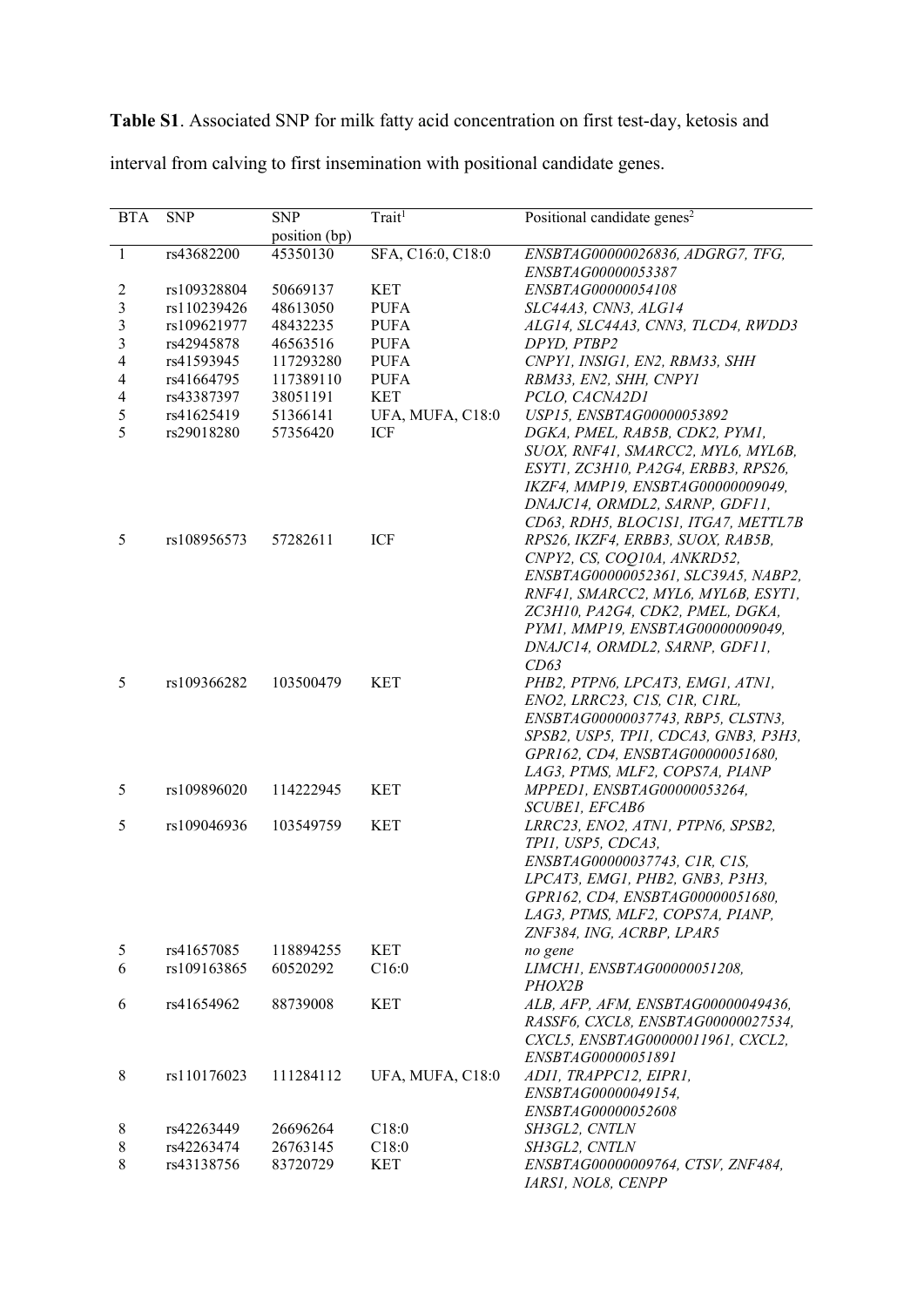Table S1. Associated SNP for milk fatty acid concentration on first test-day, ketosis and interval from calving to first insemination with positional candidate genes.

| <b>BTA</b>               | <b>SNP</b>  | <b>SNP</b>    | Trait <sup>1</sup> | Positional candidate genes <sup>2</sup>                |
|--------------------------|-------------|---------------|--------------------|--------------------------------------------------------|
|                          |             | position (bp) |                    |                                                        |
| $\mathbf{1}$             | rs43682200  | 45350130      | SFA, C16:0, C18:0  | ENSBTAG00000026836, ADGRG7, TFG,<br>ENSBTAG00000053387 |
| 2                        | rs109328804 | 50669137      | <b>KET</b>         | ENSBTAG00000054108                                     |
| 3                        | rs110239426 | 48613050      | <b>PUFA</b>        | SLC44A3, CNN3, ALG14                                   |
| 3                        | rs109621977 | 48432235      | <b>PUFA</b>        | ALG14, SLC44A3, CNN3, TLCD4, RWDD3                     |
| 3                        |             | 46563516      |                    |                                                        |
|                          | rs42945878  |               | <b>PUFA</b>        | DPYD, PTBP2                                            |
| $\overline{\mathcal{A}}$ | rs41593945  | 117293280     | <b>PUFA</b>        | CNPY1, INSIG1, EN2, RBM33, SHH                         |
| $\overline{\mathcal{A}}$ | rs41664795  | 117389110     | <b>PUFA</b>        | RBM33, EN2, SHH, CNPY1                                 |
| $\overline{\mathcal{A}}$ | rs43387397  | 38051191      | <b>KET</b>         | PCLO, CACNA2D1                                         |
| 5                        | rs41625419  | 51366141      | UFA, MUFA, C18:0   | USP15, ENSBTAG00000053892                              |
| 5                        | rs29018280  | 57356420      | ICF                | DGKA, PMEL, RAB5B, CDK2, PYM1,                         |
|                          |             |               |                    | SUOX, RNF41, SMARCC2, MYL6, MYL6B,                     |
|                          |             |               |                    | ESYT1, ZC3H10, PA2G4, ERBB3, RPS26,                    |
|                          |             |               |                    | IKZF4, MMP19, ENSBTAG00000009049,                      |
|                          |             |               |                    | DNAJC14, ORMDL2, SARNP, GDF11,                         |
|                          |             |               |                    | CD63, RDH5, BLOC1S1, ITGA7, METTL7B                    |
| 5                        | rs108956573 | 57282611      | ICF                | RPS26, IKZF4, ERBB3, SUOX, RAB5B,                      |
|                          |             |               |                    | CNPY2, CS, COQ10A, ANKRD52,                            |
|                          |             |               |                    | ENSBTAG00000052361, SLC39A5, NABP2,                    |
|                          |             |               |                    | RNF41, SMARCC2, MYL6, MYL6B, ESYT1,                    |
|                          |             |               |                    | ZC3H10, PA2G4, CDK2, PMEL, DGKA,                       |
|                          |             |               |                    | PYM1, MMP19, ENSBTAG00000009049,                       |
|                          |             |               |                    | DNAJC14, ORMDL2, SARNP, GDF11,                         |
|                          |             |               |                    | CD63                                                   |
| 5                        | rs109366282 | 103500479     | <b>KET</b>         | PHB2, PTPN6, LPCAT3, EMG1, ATN1,                       |
|                          |             |               |                    |                                                        |
|                          |             |               |                    | ENO2, LRRC23, CIS, CIR, CIRL,                          |
|                          |             |               |                    | ENSBTAG00000037743, RBP5, CLSTN3,                      |
|                          |             |               |                    | SPSB2, USP5, TPI1, CDCA3, GNB3, P3H3,                  |
|                          |             |               |                    | GPR162, CD4, ENSBTAG00000051680,                       |
|                          |             |               |                    | LAG3, PTMS, MLF2, COPS7A, PIANP                        |
| 5                        | rs109896020 | 114222945     | <b>KET</b>         | MPPED1, ENSBTAG00000053264,                            |
|                          |             |               |                    | SCUBE1, EFCAB6                                         |
| 5                        | rs109046936 | 103549759     | <b>KET</b>         | LRRC23, ENO2, ATN1, PTPN6, SPSB2,                      |
|                          |             |               |                    | TPI1, USP5, CDCA3,                                     |
|                          |             |               |                    | ENSBTAG00000037743, CIR, CIS,                          |
|                          |             |               |                    | LPCAT3, EMG1, PHB2, GNB3, P3H3,                        |
|                          |             |               |                    | GPR162, CD4, ENSBTAG00000051680,                       |
|                          |             |               |                    | LAG3, PTMS, MLF2, COPS7A, PIANP,                       |
|                          |             |               |                    | ZNF384, ING, ACRBP, LPAR5                              |
| 5                        | rs41657085  | 118894255     | <b>KET</b>         | no gene                                                |
| 6                        | rs109163865 | 60520292      | C16:0              | LIMCH1, ENSBTAG00000051208,                            |
|                          |             |               |                    | PHOX2B                                                 |
| 6                        | rs41654962  | 88739008      | <b>KET</b>         | ALB, AFP, AFM, ENSBTAG00000049436,                     |
|                          |             |               |                    | RASSF6, CXCL8, ENSBTAG00000027534,                     |
|                          |             |               |                    | CXCL5, ENSBTAG00000011961, CXCL2,                      |
|                          |             |               |                    | ENSBTAG00000051891                                     |
| 8                        | rs110176023 | 111284112     | UFA, MUFA, C18:0   | ADII, TRAPPC12, EIPR1,                                 |
|                          |             |               |                    | ENSBTAG00000049154,                                    |
|                          |             |               |                    | ENSBTAG00000052608                                     |
| 8                        | rs42263449  | 26696264      | C18:0              | SH3GL2, CNTLN                                          |
| 8                        | rs42263474  | 26763145      | C18:0              | SH3GL2, CNTLN                                          |
| 8                        | rs43138756  | 83720729      | <b>KET</b>         | ENSBTAG00000009764, CTSV, ZNF484,                      |
|                          |             |               |                    | IARSI, NOL8, CENPP                                     |
|                          |             |               |                    |                                                        |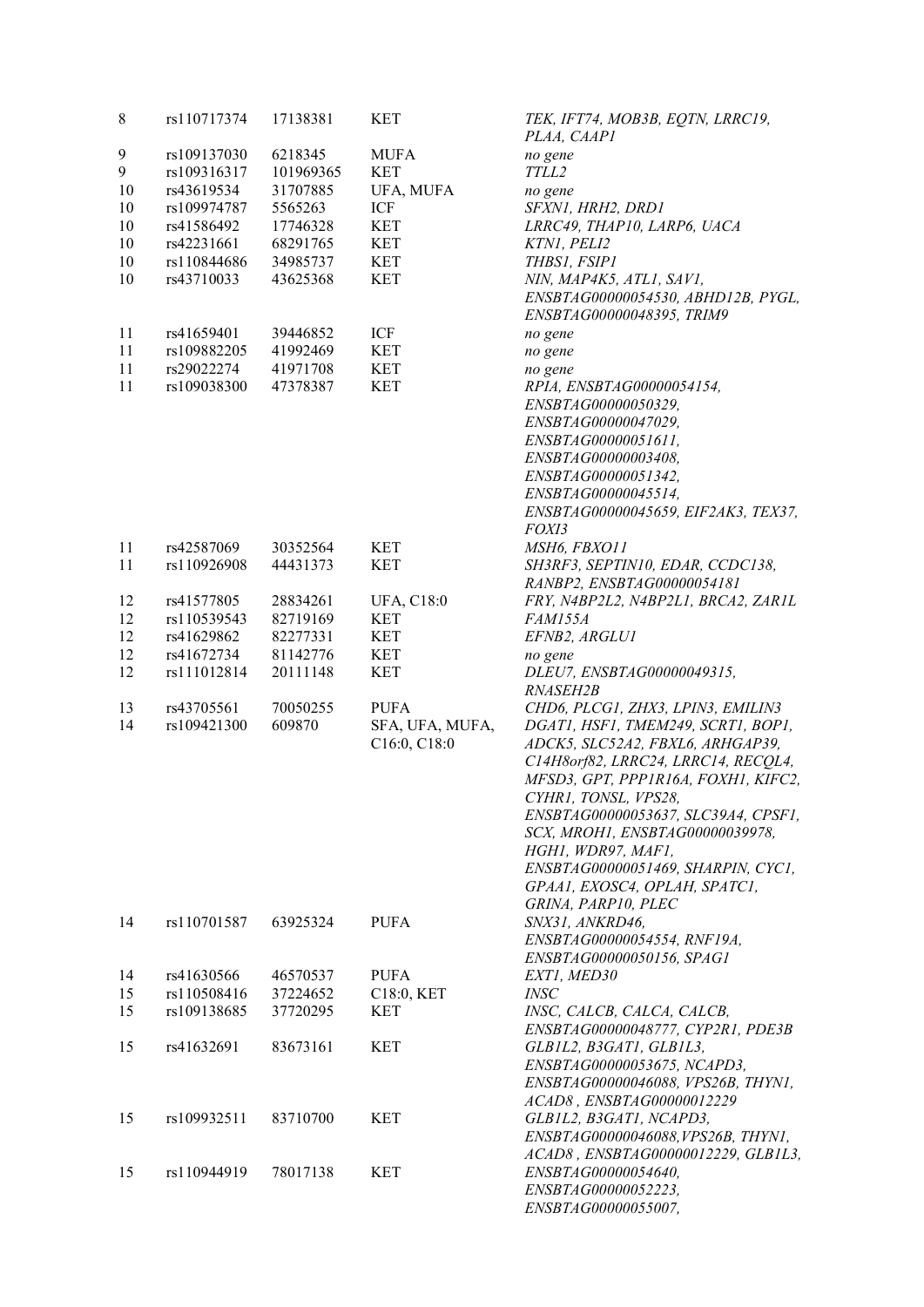| 8  | rs110717374 | 17138381  | <b>KET</b>        | TEK, IFT74, MOB3B, EQTN, LRRC19,<br>PLAA, CAAP1 |
|----|-------------|-----------|-------------------|-------------------------------------------------|
| 9  | rs109137030 | 6218345   | <b>MUFA</b>       | no gene                                         |
| 9  | rs109316317 | 101969365 | <b>KET</b>        | TTLL2                                           |
| 10 | rs43619534  | 31707885  | UFA, MUFA         | no gene                                         |
| 10 | rs109974787 | 5565263   | ICF               | SFXN1, HRH2, DRD1                               |
| 10 | rs41586492  | 17746328  | <b>KET</b>        | LRRC49, THAP10, LARP6, UACA                     |
| 10 | rs42231661  | 68291765  | <b>KET</b>        | KTNI, PELI2                                     |
|    |             |           |                   |                                                 |
| 10 | rs110844686 | 34985737  | <b>KET</b>        | THBS1, FSIP1                                    |
| 10 | rs43710033  | 43625368  | <b>KET</b>        | NIN, MAP4K5, ATL1, SAV1,                        |
|    |             |           |                   | ENSBTAG00000054530, ABHD12B, PYGL,              |
|    |             |           |                   | ENSBTAG00000048395, TRIM9                       |
| 11 | rs41659401  | 39446852  | ICF               | no gene                                         |
| 11 | rs109882205 | 41992469  | <b>KET</b>        | no gene                                         |
| 11 | rs29022274  | 41971708  | <b>KET</b>        | no gene                                         |
| 11 | rs109038300 | 47378387  | <b>KET</b>        | RPIA, ENSBTAG00000054154,                       |
|    |             |           |                   | ENSBTAG00000050329,                             |
|    |             |           |                   | ENSBTAG00000047029,                             |
|    |             |           |                   | ENSBTAG00000051611,                             |
|    |             |           |                   | ENSBTAG00000003408,                             |
|    |             |           |                   | ENSBTAG00000051342,                             |
|    |             |           |                   |                                                 |
|    |             |           |                   | ENSBTAG00000045514,                             |
|    |             |           |                   | ENSBTAG00000045659, EIF2AK3, TEX37,             |
|    |             |           |                   | <i>FOXI3</i>                                    |
| 11 | rs42587069  | 30352564  | <b>KET</b>        | MSH6, FBXO11                                    |
| 11 | rs110926908 | 44431373  | <b>KET</b>        | SH3RF3, SEPTIN10, EDAR, CCDC138,                |
|    |             |           |                   | RANBP2, ENSBTAG00000054181                      |
| 12 | rs41577805  | 28834261  | <b>UFA, C18:0</b> | FRY, N4BP2L2, N4BP2L1, BRCA2, ZAR1L             |
| 12 | rs110539543 | 82719169  | <b>KET</b>        | <b>FAM155A</b>                                  |
| 12 | rs41629862  | 82277331  | <b>KET</b>        | EFNB2, ARGLU1                                   |
| 12 | rs41672734  | 81142776  | <b>KET</b>        | no gene                                         |
| 12 | rs111012814 | 20111148  | <b>KET</b>        | DLEU7, ENSBTAG00000049315,                      |
|    |             |           |                   | RNASEH2B                                        |
| 13 | rs43705561  | 70050255  | <b>PUFA</b>       | CHD6, PLCG1, ZHX3, LPIN3, EMILIN3               |
| 14 | rs109421300 | 609870    | SFA, UFA, MUFA,   | DGATI, HSF1, TMEM249, SCRT1, BOP1,              |
|    |             |           |                   |                                                 |
|    |             |           | C16:0, C18:0      | ADCK5, SLC52A2, FBXL6, ARHGAP39,                |
|    |             |           |                   | C14H8orf82, LRRC24, LRRC14, RECOL4,             |
|    |             |           |                   | MFSD3, GPT, PPP1R16A, FOXH1, KIFC2,             |
|    |             |           |                   | CYHR1, TONSL, VPS28,                            |
|    |             |           |                   | ENSBTAG00000053637, SLC39A4, CPSF1,             |
|    |             |           |                   | SCX, MROH1, ENSBTAG00000039978,                 |
|    |             |           |                   | HGH1, WDR97, MAF1,                              |
|    |             |           |                   | ENSBTAG00000051469, SHARPIN, CYC1,              |
|    |             |           |                   | GPAA1, EXOSC4, OPLAH, SPATC1,                   |
|    |             |           |                   | GRINA, PARP10, PLEC                             |
| 14 | rs110701587 | 63925324  | <b>PUFA</b>       | SNX31, ANKRD46,                                 |
|    |             |           |                   | ENSBTAG00000054554, RNF19A,                     |
|    |             |           |                   | ENSBTAG00000050156, SPAG1                       |
| 14 | rs41630566  | 46570537  | <b>PUFA</b>       | EXT1, MED30                                     |
| 15 | rs110508416 | 37224652  | C18:0, KET        | <b>INSC</b>                                     |
|    |             |           |                   |                                                 |
| 15 | rs109138685 | 37720295  | <b>KET</b>        | INSC, CALCB, CALCA, CALCB,                      |
|    |             |           |                   | ENSBTAG00000048777, CYP2R1, PDE3B               |
| 15 | rs41632691  | 83673161  | <b>KET</b>        | GLB1L2, B3GAT1, GLB1L3,                         |
|    |             |           |                   | ENSBTAG00000053675, NCAPD3,                     |
|    |             |           |                   | ENSBTAG00000046088, VPS26B, THYN1,              |
|    |             |           |                   | ACAD8, ENSBTAG00000012229                       |
| 15 | rs109932511 | 83710700  | <b>KET</b>        | GLB1L2, B3GAT1, NCAPD3,                         |
|    |             |           |                   | ENSBTAG00000046088, VPS26B, THYN1,              |
|    |             |           |                   | ACAD8, ENSBTAG00000012229, GLB1L3,              |
| 15 | rs110944919 | 78017138  | <b>KET</b>        | ENSBTAG00000054640,                             |
|    |             |           |                   |                                                 |
|    |             |           |                   | ENSBTAG00000052223,                             |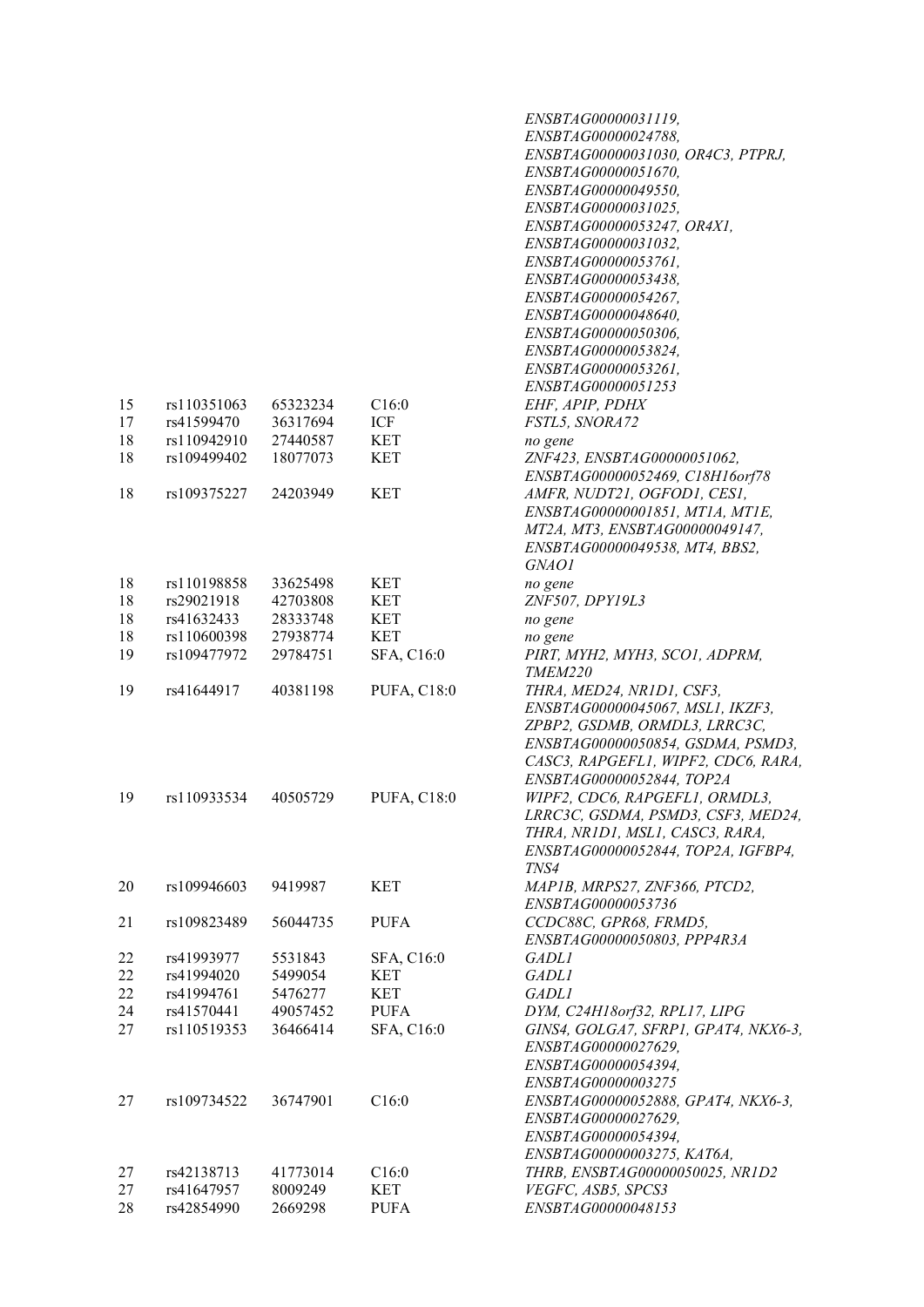|    |             |          |                    | ENSBTAG00000031119,                  |
|----|-------------|----------|--------------------|--------------------------------------|
|    |             |          |                    | ENSBTAG00000024788,                  |
|    |             |          |                    | ENSBTAG00000031030, OR4C3, PTPRJ,    |
|    |             |          |                    | ENSBTAG00000051670,                  |
|    |             |          |                    | ENSBTAG00000049550,                  |
|    |             |          |                    | ENSBTAG00000031025,                  |
|    |             |          |                    |                                      |
|    |             |          |                    | ENSBTAG00000053247, OR4X1,           |
|    |             |          |                    | ENSBTAG00000031032,                  |
|    |             |          |                    | ENSBTAG00000053761,                  |
|    |             |          |                    | ENSBTAG00000053438,                  |
|    |             |          |                    | ENSBTAG00000054267,                  |
|    |             |          |                    | ENSBTAG00000048640,                  |
|    |             |          |                    | ENSBTAG00000050306,                  |
|    |             |          |                    | ENSBTAG00000053824,                  |
|    |             |          |                    | ENSBTAG00000053261,                  |
|    |             |          |                    | ENSBTAG00000051253                   |
| 15 | rs110351063 | 65323234 | C16:0              | EHF, APIP, PDHX                      |
| 17 | rs41599470  | 36317694 | ICF                | FSTL5, SNORA72                       |
| 18 | rs110942910 | 27440587 | <b>KET</b>         |                                      |
|    |             |          |                    | no gene                              |
| 18 | rs109499402 | 18077073 | <b>KET</b>         | ZNF423, ENSBTAG00000051062,          |
|    |             |          |                    | ENSBTAG00000052469, C18H16orf78      |
| 18 | rs109375227 | 24203949 | <b>KET</b>         | AMFR, NUDT21, OGFOD1, CES1,          |
|    |             |          |                    | ENSBTAG00000001851, MT1A, MT1E,      |
|    |             |          |                    | MT2A, MT3, ENSBTAG00000049147,       |
|    |             |          |                    | ENSBTAG00000049538, MT4, BBS2,       |
|    |             |          |                    | GNAO1                                |
| 18 | rs110198858 | 33625498 | <b>KET</b>         | no gene                              |
| 18 | rs29021918  | 42703808 | <b>KET</b>         | ZNF507, DPY19L3                      |
| 18 | rs41632433  | 28333748 | <b>KET</b>         | no gene                              |
| 18 | rs110600398 | 27938774 | <b>KET</b>         |                                      |
|    |             |          |                    | no gene                              |
| 19 | rs109477972 | 29784751 | SFA, C16:0         | PIRT, MYH2, MYH3, SCO1, ADPRM,       |
|    |             |          |                    | TMEM220                              |
| 19 | rs41644917  | 40381198 | <b>PUFA, C18:0</b> | THRA, MED24, NR1D1, CSF3,            |
|    |             |          |                    | ENSBTAG00000045067, MSL1, IKZF3,     |
|    |             |          |                    | ZPBP2, GSDMB, ORMDL3, LRRC3C,        |
|    |             |          |                    | ENSBTAG00000050854, GSDMA, PSMD3,    |
|    |             |          |                    | CASC3, RAPGEFL1, WIPF2, CDC6, RARA,  |
|    |             |          |                    | ENSBTAG00000052844, TOP2A            |
| 19 | rs110933534 | 40505729 | <b>PUFA, C18:0</b> | WIPF2, CDC6, RAPGEFL1, ORMDL3,       |
|    |             |          |                    | LRRC3C, GSDMA, PSMD3, CSF3, MED24,   |
|    |             |          |                    | THRA, NR1D1, MSL1, CASC3, RARA,      |
|    |             |          |                    | ENSBTAG00000052844, TOP2A, IGFBP4,   |
|    |             |          |                    | TNS4                                 |
|    | rs109946603 |          |                    |                                      |
| 20 |             | 9419987  | <b>KET</b>         | MAP1B, MRPS27, ZNF366, PTCD2,        |
|    |             |          |                    | ENSBTAG00000053736                   |
| 21 | rs109823489 | 56044735 | <b>PUFA</b>        | CCDC88C, GPR68, FRMD5,               |
|    |             |          |                    | ENSBTAG00000050803, PPP4R3A          |
| 22 | rs41993977  | 5531843  | SFA, C16:0         | <i>GADLI</i>                         |
| 22 | rs41994020  | 5499054  | <b>KET</b>         | <i>GADLI</i>                         |
| 22 | rs41994761  | 5476277  | <b>KET</b>         | <i>GADLI</i>                         |
| 24 | rs41570441  | 49057452 | <b>PUFA</b>        | DYM, C24H18orf32, RPL17, LIPG        |
| 27 | rs110519353 | 36466414 | SFA, C16:0         | GINS4, GOLGA7, SFRP1, GPAT4, NKX6-3, |
|    |             |          |                    | ENSBTAG00000027629,                  |
|    |             |          |                    | ENSBTAG00000054394,                  |
|    |             |          |                    | ENSBTAG00000003275                   |
|    |             |          |                    |                                      |
| 27 | rs109734522 | 36747901 | C16:0              | ENSBTAG00000052888, GPAT4, NKX6-3,   |
|    |             |          |                    | ENSBTAG00000027629,                  |
|    |             |          |                    | ENSBTAG00000054394,                  |
|    |             |          |                    | ENSBTAG00000003275, KAT6A,           |
| 27 | rs42138713  | 41773014 | C16:0              | THRB, ENSBTAG00000050025, NR1D2      |
| 27 | rs41647957  | 8009249  | <b>KET</b>         | VEGFC, ASB5, SPCS3                   |
| 28 | rs42854990  | 2669298  | <b>PUFA</b>        | ENSBTAG00000048153                   |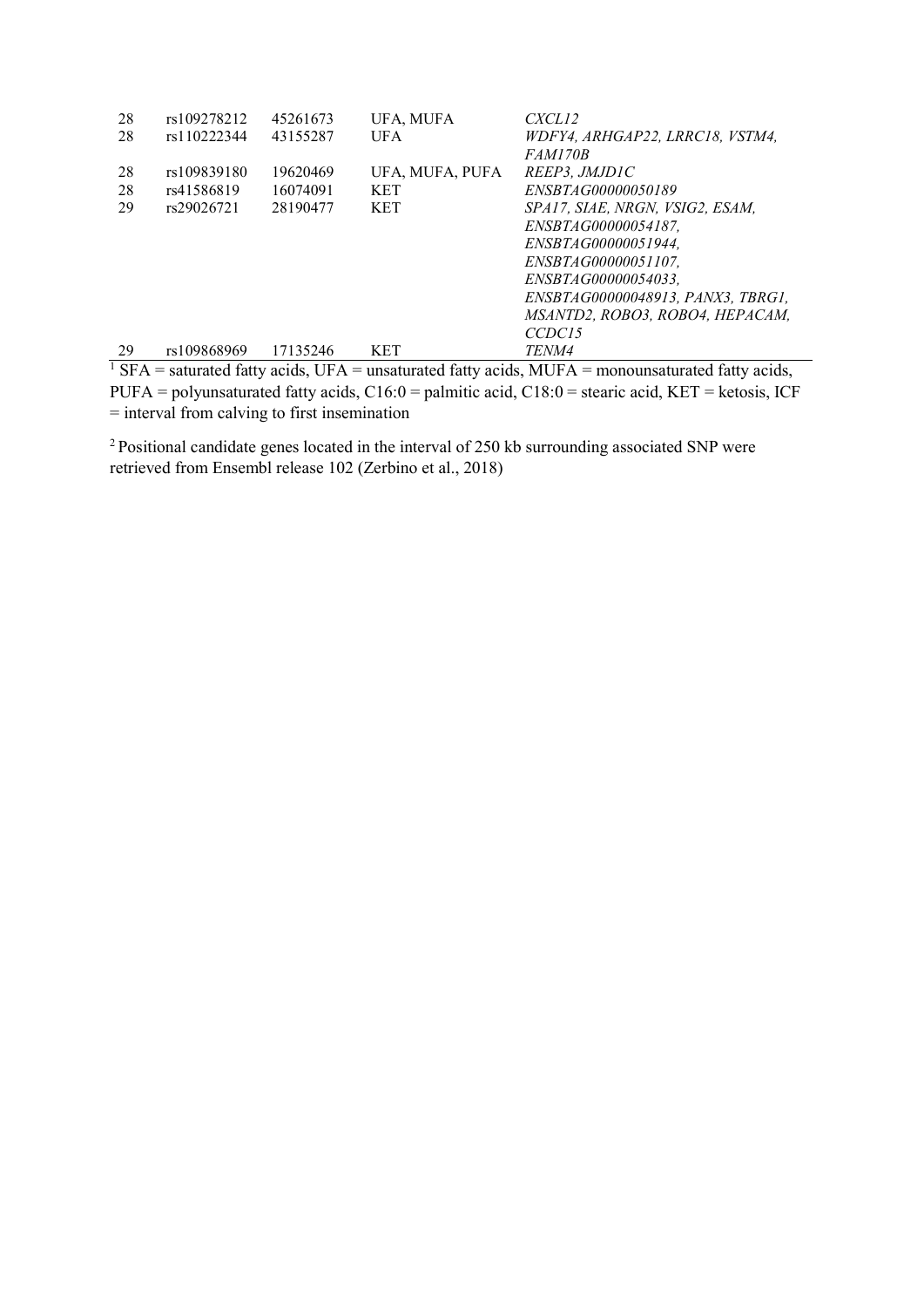| 28 | rs109278212 | 45261673 | UFA, MUFA       | CXCL12                                                                                                                                                                       |
|----|-------------|----------|-----------------|------------------------------------------------------------------------------------------------------------------------------------------------------------------------------|
| 28 | rs110222344 | 43155287 | <b>UFA</b>      | WDFY4, ARHGAP22, LRRC18, VSTM4,                                                                                                                                              |
|    |             |          |                 | <i>FAM170B</i>                                                                                                                                                               |
| 28 | rs109839180 | 19620469 | UFA, MUFA, PUFA | REEP3. JMJD1C                                                                                                                                                                |
| 28 | rs41586819  | 16074091 | <b>KET</b>      | <i>ENSBTAG00000050189</i>                                                                                                                                                    |
| 29 | rs29026721  | 28190477 | <b>KET</b>      | SPA17, SIAE, NRGN, VSIG2, ESAM,                                                                                                                                              |
|    |             |          |                 | ENSBTAG00000054187.                                                                                                                                                          |
|    |             |          |                 | ENSBTAG00000051944.                                                                                                                                                          |
|    |             |          |                 | ENSBTAG00000051107.                                                                                                                                                          |
|    |             |          |                 | ENSBTAG00000054033.                                                                                                                                                          |
|    |             |          |                 | ENSBTAG00000048913. PANX3. TBRG1.                                                                                                                                            |
|    |             |          |                 | MSANTD2, ROBO3, ROBO4, HEPACAM,                                                                                                                                              |
|    |             |          |                 | CCDC <sub>15</sub>                                                                                                                                                           |
| 29 | rs109868969 | 17135246 | <b>KET</b>      | <i>TENM4</i>                                                                                                                                                                 |
|    |             |          |                 | $\overline{N} = \overline{N} = \overline{N}$ and $\overline{N} = \overline{N} = \overline{N} = \overline{N}$ and $\overline{N} = \overline{N} = \overline{N} = \overline{N}$ |

<sup>1</sup> SFA = saturated fatty acids, UFA = unsaturated fatty acids, MUFA = monounsaturated fatty acids, PUFA = polyunsaturated fatty acids,  $C16:0 =$  palmitic acid,  $C18:0 =$  stearic acid,  $KET =$  ketosis, ICF = interval from calving to first insemination

<sup>2</sup> Positional candidate genes located in the interval of 250 kb surrounding associated SNP were retrieved from Ensembl release 102 (Zerbino et al., 2018)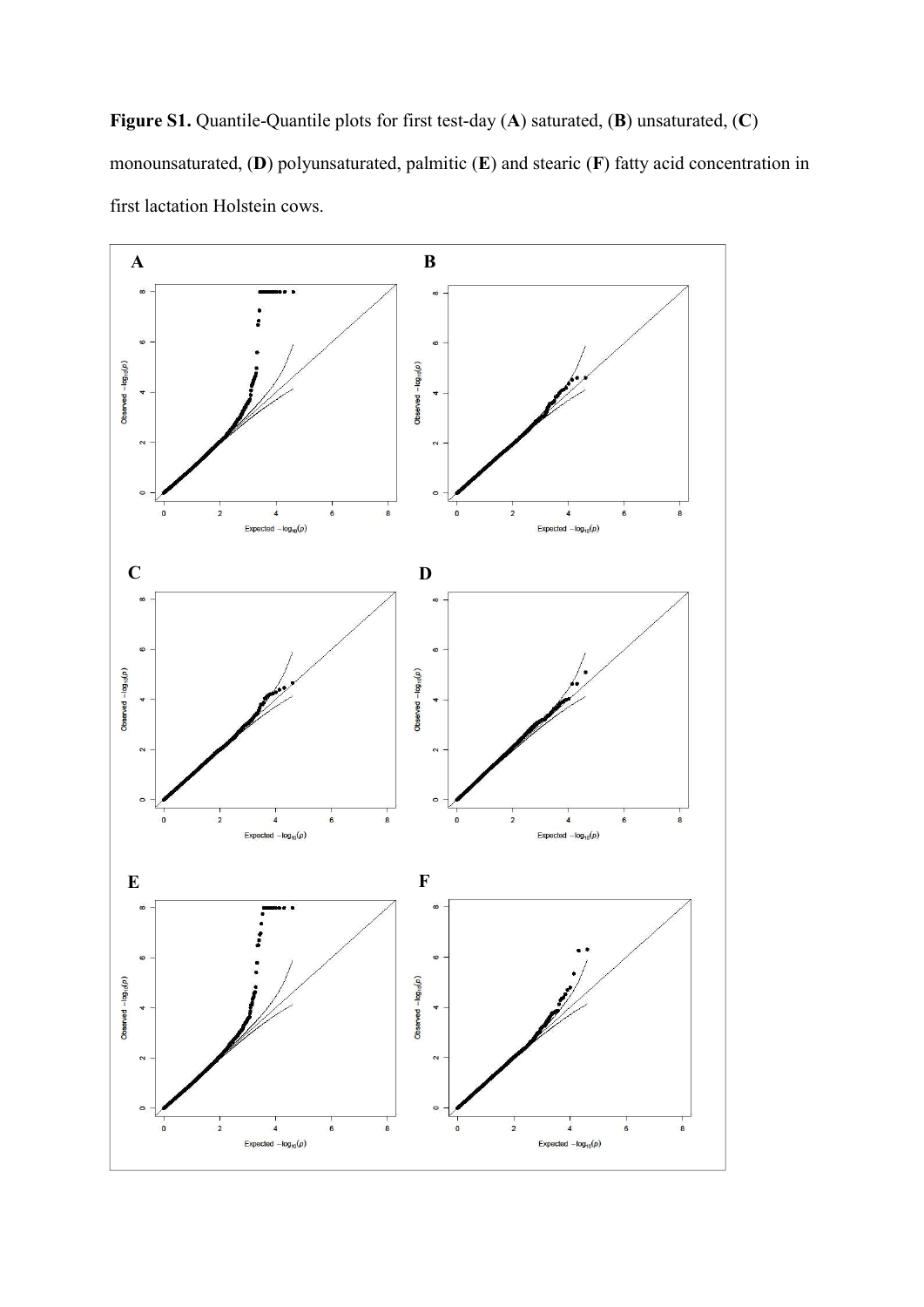Figure S1. Quantile-Quantile plots for first test-day (A) saturated, (B) unsaturated, (C) monounsaturated, (D) polyunsaturated, palmitic (E) and stearic (F) fatty acid concentration in first lactation Holstein cows.